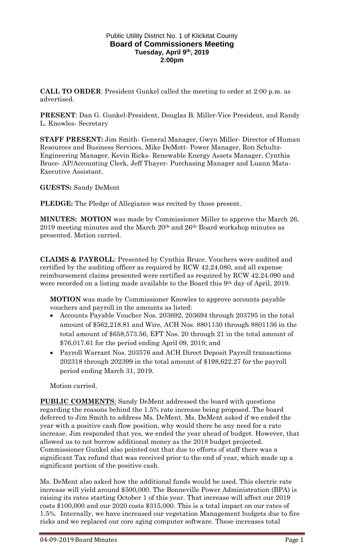## Public Utility District No. 1 of Klickitat County **Board of Commissioners Meeting Tuesday, April 9th, 2019 2:00pm**

**CALL TO ORDER**: President Gunkel called the meeting to order at 2:00 p.m. as advertised.

**PRESENT**: Dan G. Gunkel-President, Douglas B. Miller-Vice President, and Randy L. Knowles- Secretary

**STAFF PRESENT:** Jim Smith- General Manager, Gwyn Miller- Director of Human Resources and Business Services, Mike DeMott- Power Manager, Ron Schultz-Engineering Manager, Kevin Ricks- Renewable Energy Assets Manager, Cynthia Bruce- AP/Accounting Clerk, Jeff Thayer- Purchasing Manager and Luann Mata-Executive Assistant.

**GUESTS:** Sandy DeMent

**PLEDGE:** The Pledge of Allegiance was recited by those present.

**MINUTES: MOTION** was made by Commissioner Miller to approve the March 26, 2019 meeting minutes and the March 20th and 26th Board workshop minutes as presented. Motion carried.

**CLAIMS & PAYROLL**: Presented by Cynthia Bruce. Vouchers were audited and certified by the auditing officer as required by RCW 42.24.080, and all expense reimbursement claims presented were certified as required by RCW 42.24.090 and were recorded on a listing made available to the Board this 9th day of April, 2019.

**MOTION** was made by Commissioner Knowles to approve accounts payable vouchers and payroll in the amounts as listed:

- Accounts Payable Voucher Nos. 203692, 203694 through 203795 in the total amount of \$562,218.81 and Wire, ACH Nos. 8801130 through 8801136 in the total amount of \$658,573.56, EFT Nos. 20 through 21 in the total amount of \$76,017.61 for the period ending April 09, 2019; and
- Payroll Warrant Nos. 203576 and ACH Direct Deposit Payroll transactions 202318 through 202399 in the total amount of \$198,622.27 for the payroll period ending March 31, 2019.

Motion carried.

**PUBLIC COMMENTS**: Sandy DeMent addressed the board with questions regarding the reasons behind the 1.5% rate increase being proposed. The board deferred to Jim Smith to address Ms. DeMent. Ms. DeMent asked if we ended the year with a positive cash flow position, why would there be any need for a rate increase. Jim responded that yes, we ended the year ahead of budget. However, that allowed us to not borrow additional money as the 2018 budget projected. Commissioner Gunkel also pointed out that due to efforts of staff there was a significant Tax refund that was received prior to the end of year, which made up a significant portion of the positive cash.

Ms. DeMent also asked how the additional funds would be used. This electric rate increase will yield around \$500,000. The Bonneville Power Administration (BPA) is raising its rates starting October 1 of this year. That increase will affect our 2019 costs \$100,000 and our 2020 costs \$315,000. This is a total impact on our rates of 1.5%. Internally, we have increased our vegetation Management budgets due to fire risks and we replaced our core aging computer software. These increases total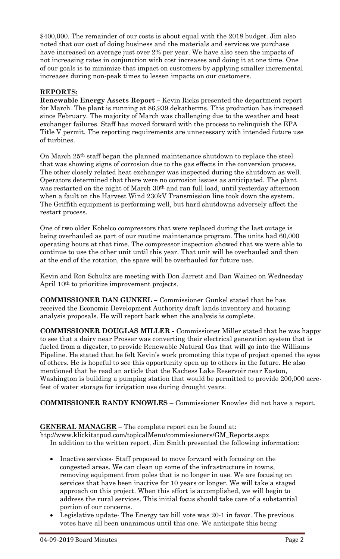\$400,000. The remainder of our costs is about equal with the 2018 budget. Jim also noted that our cost of doing business and the materials and services we purchase have increased on average just over 2% per year. We have also seen the impacts of not increasing rates in conjunction with cost increases and doing it at one time. One of our goals is to minimize that impact on customers by applying smaller incremental increases during non-peak times to lessen impacts on our customers.

## **REPORTS:**

**Renewable Energy Assets Report –** Kevin Ricks presented the department report for March. The plant is running at 86,939 dekatherms. This production has increased since February. The majority of March was challenging due to the weather and heat exchanger failures. Staff has moved forward with the process to relinquish the EPA Title V permit. The reporting requirements are unnecessary with intended future use of turbines.

On March 25th staff began the planned maintenance shutdown to replace the steel that was showing signs of corrosion due to the gas effects in the conversion process. The other closely related heat exchanger was inspected during the shutdown as well. Operators determined that there were no corrosion issues as anticipated. The plant was restarted on the night of March 30<sup>th</sup> and ran full load, until yesterday afternoon when a fault on the Harvest Wind 230kV Transmission line took down the system. The Griffith equipment is performing well, but hard shutdowns adversely affect the restart process.

One of two older Kobelco compressors that were replaced during the last outage is being overhauled as part of our routine maintenance program. The units had 60,000 operating hours at that time. The compressor inspection showed that we were able to continue to use the other unit until this year. That unit will be overhauled and then at the end of the rotation, the spare will be overhauled for future use.

Kevin and Ron Schultz are meeting with Don Jarrett and Dan Waineo on Wednesday April 10th to prioritize improvement projects.

**COMMISSIONER DAN GUNKEL –** Commissioner Gunkel stated that he has received the Economic Development Authority draft lands inventory and housing analysis proposals. He will report back when the analysis is complete.

**COMMISSIONER DOUGLAS MILLER -** Commissioner Miller stated that he was happy to see that a dairy near Prosser was converting their electrical generation system that is fueled from a digester, to provide Renewable Natural Gas that will go into the Williams Pipeline. He stated that he felt Kevin's work promoting this type of project opened the eyes of others. He is hopeful to see this opportunity open up to others in the future. He also mentioned that he read an article that the Kachess Lake Reservoir near Easton, Washington is building a pumping station that would be permitted to provide 200,000 acrefeet of water storage for irrigation use during drought years.

**COMMISSIONER RANDY KNOWLES** – Commissioner Knowles did not have a report.

## **GENERAL MANAGER –** The complete report can be found at:

[htp://www.klickitatpud.com/topicalMenu/commissioners/GM\\_Reports.aspx](http://www.klickitatpud.com/topicalMenu/commissioners/GM_Reports.aspx) In addition to the written report, Jim Smith presented the following information:

- Inactive services- Staff proposed to move forward with focusing on the congested areas. We can clean up some of the infrastructure in towns, removing equipment from poles that is no longer in use. We are focusing on services that have been inactive for 10 years or longer. We will take a staged approach on this project. When this effort is accomplished, we will begin to address the rural services. This initial focus should take care of a substantial portion of our concerns.
- Legislative update- The Energy tax bill vote was 20-1 in favor. The previous votes have all been unanimous until this one. We anticipate this being